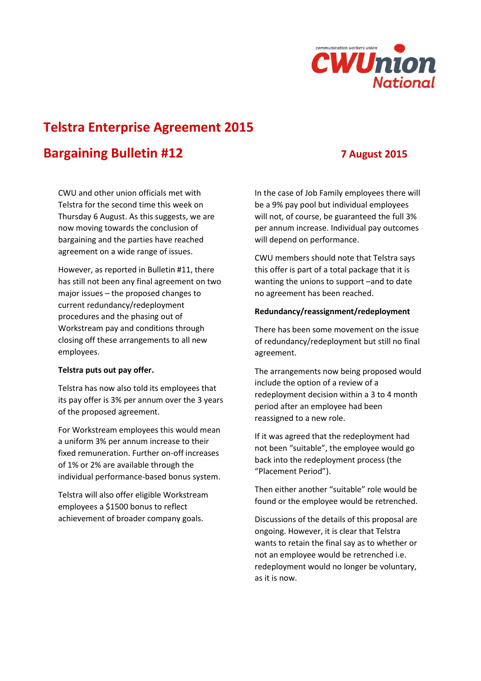

# **Telstra Enterprise Agreement 2015**

# **Bargaining Bulletin #12 7 August 2015**

CWU and other union officials met with Telstra for the second time this week on Thursday 6 August. As this suggests, we are now moving towards the conclusion of bargaining and the parties have reached agreement on a wide range of issues.

However, as reported in Bulletin #11, there has still not been any final agreement on two major issues – the proposed changes to current redundancy/redeployment procedures and the phasing out of Workstream pay and conditions through closing off these arrangements to all new employees.

# **Telstra puts out pay offer.**

Telstra has now also told its employees that its pay offer is 3% per annum over the 3 years of the proposed agreement.

For Workstream employees this would mean a uniform 3% per annum increase to their fixed remuneration. Further on-off increases of 1% or 2% are available through the individual performance-based bonus system.

Telstra will also offer eligible Workstream employees a \$1500 bonus to reflect achievement of broader company goals.

In the case of Job Family employees there will be a 9% pay pool but individual employees will not, of course, be guaranteed the full 3% per annum increase. Individual pay outcomes will depend on performance.

CWU members should note that Telstra says this offer is part of a total package that it is wanting the unions to support –and to date no agreement has been reached.

### **Redundancy/reassignment/redeployment**

There has been some movement on the issue of redundancy/redeployment but still no final agreement.

The arrangements now being proposed would include the option of a review of a redeployment decision within a 3 to 4 month period after an employee had been reassigned to a new role.

If it was agreed that the redeployment had not been "suitable", the employee would go back into the redeployment process (the "Placement Period").

Then either another "suitable" role would be found or the employee would be retrenched.

Discussions of the details of this proposal are ongoing. However, it is clear that Telstra wants to retain the final say as to whether or not an employee would be retrenched i.e. redeployment would no longer be voluntary, as it is now.